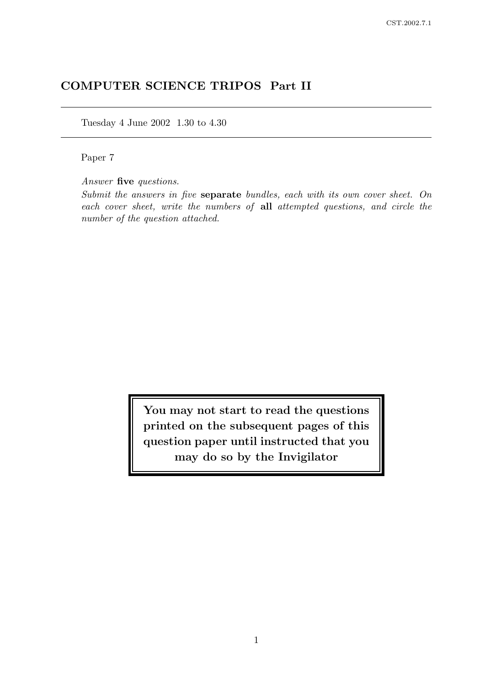# COMPUTER SCIENCE TRIPOS Part II

Tuesday 4 June 2002 1.30 to 4.30

Paper 7

Answer five questions.

Submit the answers in five separate bundles, each with its own cover sheet. On each cover sheet, write the numbers of all attempted questions, and circle the number of the question attached.

> You may not start to read the questions printed on the subsequent pages of this question paper until instructed that you may do so by the Invigilator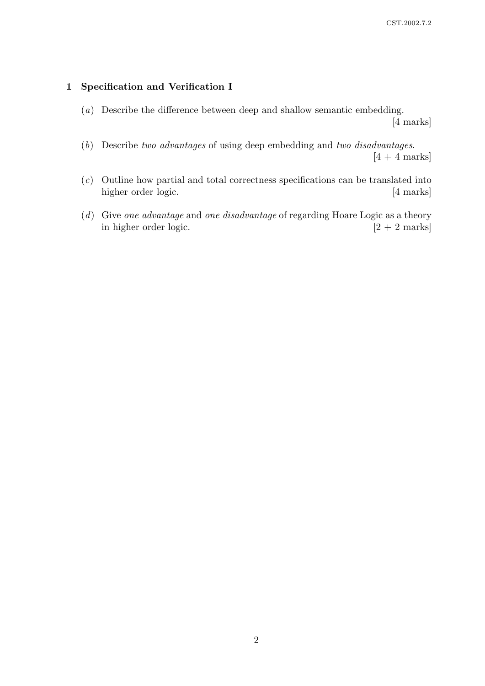### 1 Specification and Verification I

(a) Describe the difference between deep and shallow semantic embedding.

[4 marks]

- (b) Describe two advantages of using deep embedding and two disadvantages.  $[4 + 4$  marks
- (c) Outline how partial and total correctness specifications can be translated into higher order logic. [4 marks]
- (d) Give one advantage and one disadvantage of regarding Hoare Logic as a theory in higher order logic.  $[2 + 2 \text{ marks}]$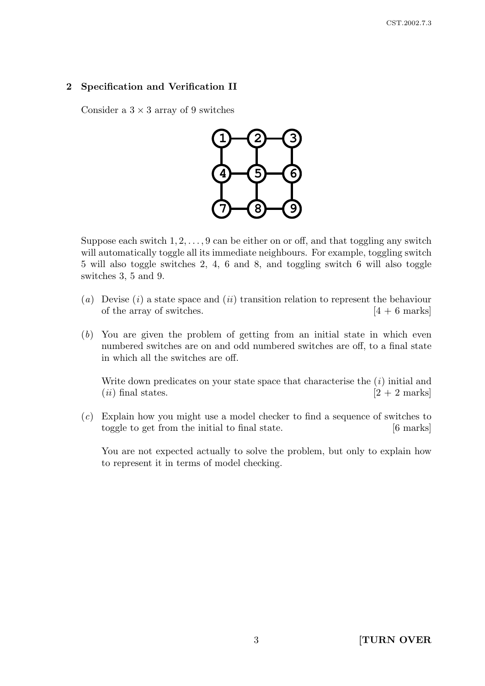## 2 Specification and Verification II

Consider a  $3 \times 3$  array of 9 switches



Suppose each switch  $1, 2, \ldots, 9$  can be either on or off, and that toggling any switch will automatically toggle all its immediate neighbours. For example, toggling switch 5 will also toggle switches 2, 4, 6 and 8, and toggling switch 6 will also toggle switches 3, 5 and 9.

- (a) Devise (i) a state space and (ii) transition relation to represent the behaviour of the array of switches.  $[4 + 6$  marks]
- (b) You are given the problem of getting from an initial state in which even numbered switches are on and odd numbered switches are off, to a final state in which all the switches are off.

Write down predicates on your state space that characterise the  $(i)$  initial and  $(ii)$  final states.  $[2 + 2$  marks]

(c) Explain how you might use a model checker to find a sequence of switches to toggle to get from the initial to final state. [6 marks]

You are not expected actually to solve the problem, but only to explain how to represent it in terms of model checking.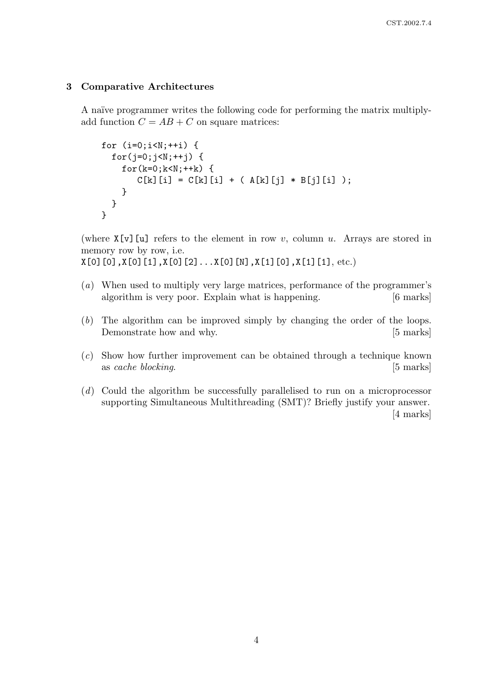#### 3 Comparative Architectures

A naïve programmer writes the following code for performing the matrix multiplyadd function  $C = AB + C$  on square matrices:

```
for (i=0; i < N; ++i) {
  for(j=0;j\le N;++j) {
    for(k=0; k < N; ++k) {
       C[k][i] = C[k][i] + (A[k][j] * B[j][i]);
    }
  }
}
```
(where  $X[\nu]$ [u] refers to the element in row v, column u. Arrays are stored in memory row by row, i.e.

 $X[0]$ [0], $X[0]$ [1], $X[0]$ [2]... $X[0]$ [N], $X[1]$ [0], $X[1]$ [1], etc.)

- (a) When used to multiply very large matrices, performance of the programmer's algorithm is very poor. Explain what is happening. [6 marks]
- (b) The algorithm can be improved simply by changing the order of the loops. Demonstrate how and why. [5 marks]
- (c) Show how further improvement can be obtained through a technique known as cache blocking. [5] marks]
- (d) Could the algorithm be successfully parallelised to run on a microprocessor supporting Simultaneous Multithreading (SMT)? Briefly justify your answer. [4 marks]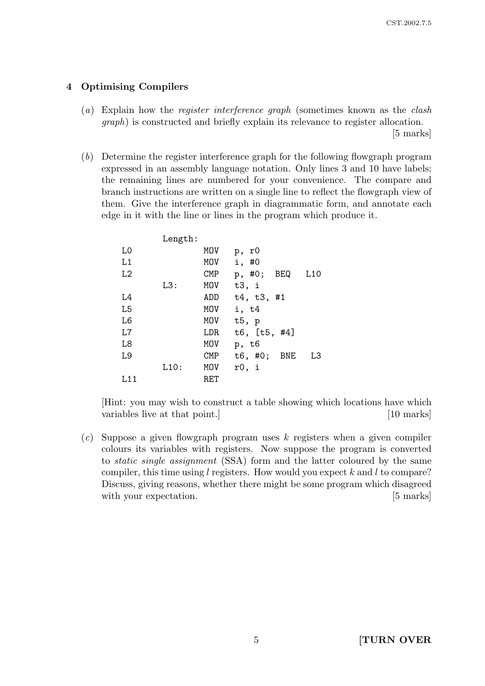### 4 Optimising Compilers

(a) Explain how the register interference graph (sometimes known as the clash graph) is constructed and briefly explain its relevance to register allocation.

[5 marks]

(b) Determine the register interference graph for the following flowgraph program expressed in an assembly language notation. Only lines 3 and 10 have labels; the remaining lines are numbered for your convenience. The compare and branch instructions are written on a single line to reflect the flowgraph view of them. Give the interference graph in diagrammatic form, and annotate each edge in it with the line or lines in the program which produce it.

|                | Length: |            |                             |
|----------------|---------|------------|-----------------------------|
| L0             |         | MOV        | p, r0                       |
| L1             |         | MOV        | i, #0                       |
| L2             |         | <b>CMP</b> | BEQ<br>p, #0;<br>L10        |
|                | L3:     | MOV        | t3, i                       |
| L4             |         | ADD        | t4, t3, #1                  |
| L <sub>5</sub> |         | MOV        | i, t4                       |
| L <sub>6</sub> |         | MOV        | t5, p                       |
| L7             |         | LDR        | t6, $[t5, #4]$              |
| L <sub>8</sub> |         | MOV        | p, t6                       |
| L9             |         | <b>CMP</b> | t6, #0;<br><b>BNE</b><br>L3 |
|                | L10:    | MOV        | r0, i                       |
| L11            |         | RET        |                             |

[Hint: you may wish to construct a table showing which locations have which variables live at that point.] [10 marks]

 $(c)$  Suppose a given flowgraph program uses k registers when a given compiler colours its variables with registers. Now suppose the program is converted to static single assignment (SSA) form and the latter coloured by the same compiler, this time using l registers. How would you expect k and l to compare? Discuss, giving reasons, whether there might be some program which disagreed with your expectation. [5 marks]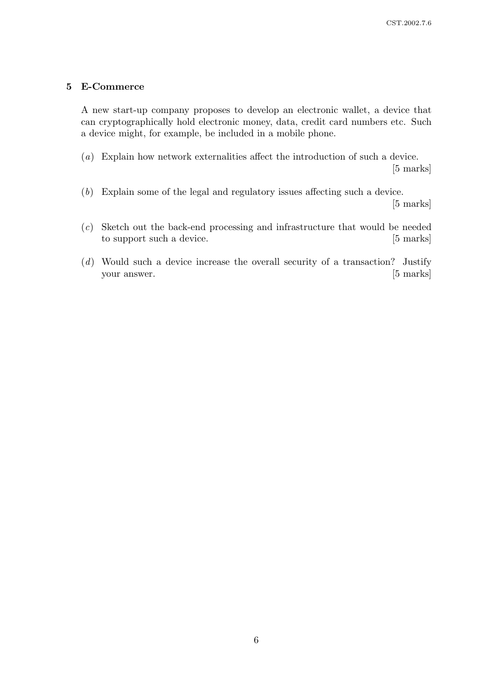#### 5 E-Commerce

A new start-up company proposes to develop an electronic wallet, a device that can cryptographically hold electronic money, data, credit card numbers etc. Such a device might, for example, be included in a mobile phone.

- (a) Explain how network externalities affect the introduction of such a device. [5 marks]
- (b) Explain some of the legal and regulatory issues affecting such a device.

[5 marks]

- (c) Sketch out the back-end processing and infrastructure that would be needed to support such a device. [5 marks]
- (d) Would such a device increase the overall security of a transaction? Justify your answer. [5 marks]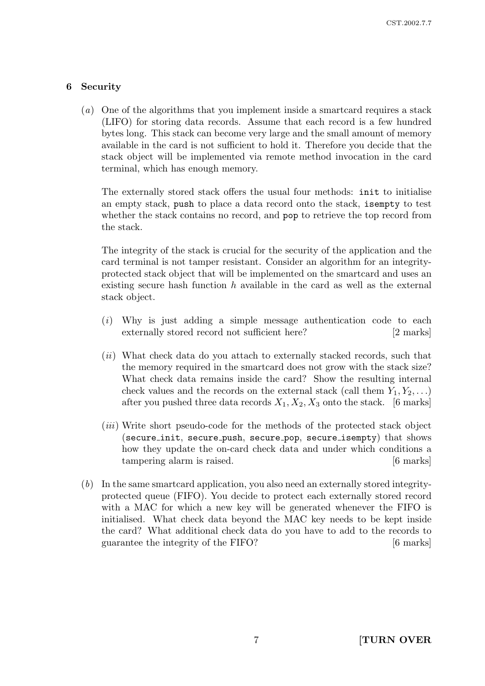## 6 Security

(a) One of the algorithms that you implement inside a smartcard requires a stack (LIFO) for storing data records. Assume that each record is a few hundred bytes long. This stack can become very large and the small amount of memory available in the card is not sufficient to hold it. Therefore you decide that the stack object will be implemented via remote method invocation in the card terminal, which has enough memory.

The externally stored stack offers the usual four methods: init to initialise an empty stack, push to place a data record onto the stack, isempty to test whether the stack contains no record, and pop to retrieve the top record from the stack.

The integrity of the stack is crucial for the security of the application and the card terminal is not tamper resistant. Consider an algorithm for an integrityprotected stack object that will be implemented on the smartcard and uses an existing secure hash function  $h$  available in the card as well as the external stack object.

- (i) Why is just adding a simple message authentication code to each externally stored record not sufficient here? [2 marks]
- (ii) What check data do you attach to externally stacked records, such that the memory required in the smartcard does not grow with the stack size? What check data remains inside the card? Show the resulting internal check values and the records on the external stack (call them  $Y_1, Y_2, \ldots$ ) after you pushed three data records  $X_1, X_2, X_3$  onto the stack. [6 marks]
- (*iii*) Write short pseudo-code for the methods of the protected stack object (secure\_init, secure\_push, secure\_pop, secure\_isempty) that shows how they update the on-card check data and under which conditions a tampering alarm is raised. [6 marks]
- (b) In the same smartcard application, you also need an externally stored integrityprotected queue (FIFO). You decide to protect each externally stored record with a MAC for which a new key will be generated whenever the FIFO is initialised. What check data beyond the MAC key needs to be kept inside the card? What additional check data do you have to add to the records to guarantee the integrity of the FIFO? [6 marks]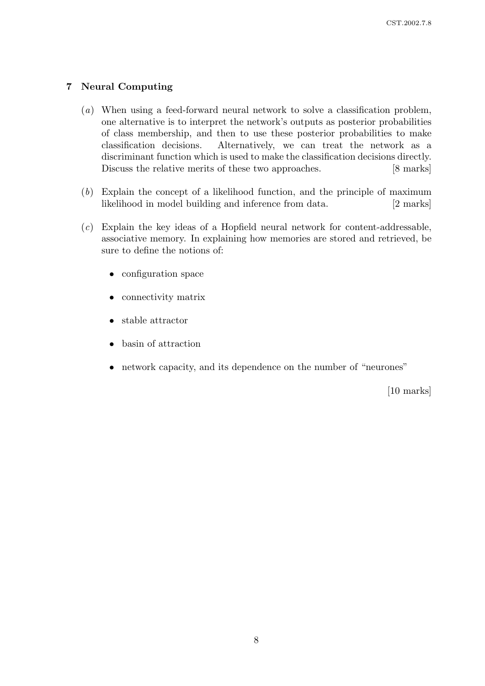## 7 Neural Computing

- (a) When using a feed-forward neural network to solve a classification problem, one alternative is to interpret the network's outputs as posterior probabilities of class membership, and then to use these posterior probabilities to make classification decisions. Alternatively, we can treat the network as a discriminant function which is used to make the classification decisions directly. Discuss the relative merits of these two approaches. [8 marks]
- (b) Explain the concept of a likelihood function, and the principle of maximum likelihood in model building and inference from data. [2 marks]
- (c) Explain the key ideas of a Hopfield neural network for content-addressable, associative memory. In explaining how memories are stored and retrieved, be sure to define the notions of:
	- configuration space
	- connectivity matrix
	- stable attractor
	- basin of attraction
	- network capacity, and its dependence on the number of "neurones"

[10 marks]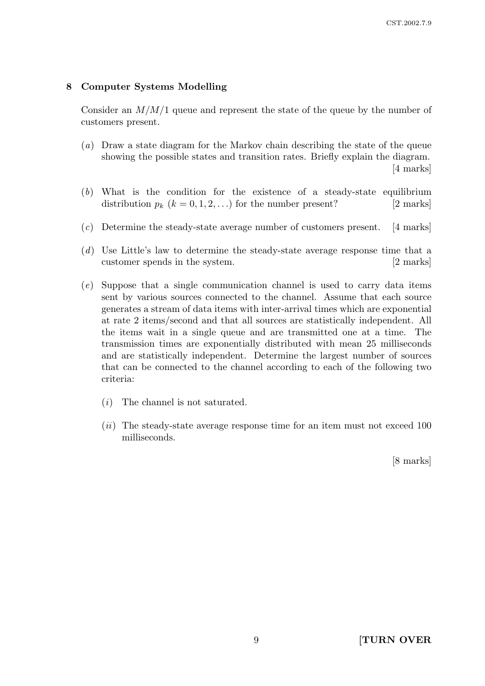#### 8 Computer Systems Modelling

Consider an  $M/M/1$  queue and represent the state of the queue by the number of customers present.

- (a) Draw a state diagram for the Markov chain describing the state of the queue showing the possible states and transition rates. Briefly explain the diagram. [4 marks]
- (b) What is the condition for the existence of a steady-state equilibrium distribution  $p_k$   $(k = 0, 1, 2, ...)$  for the number present? [2 marks]
- $(c)$  Determine the steady-state average number of customers present. [4 marks]
- (d) Use Little's law to determine the steady-state average response time that a customer spends in the system. [2 marks]
- (e) Suppose that a single communication channel is used to carry data items sent by various sources connected to the channel. Assume that each source generates a stream of data items with inter-arrival times which are exponential at rate 2 items/second and that all sources are statistically independent. All the items wait in a single queue and are transmitted one at a time. The transmission times are exponentially distributed with mean 25 milliseconds and are statistically independent. Determine the largest number of sources that can be connected to the channel according to each of the following two criteria:
	- (i) The channel is not saturated.
	- $(ii)$  The steady-state average response time for an item must not exceed 100 milliseconds.

[8 marks]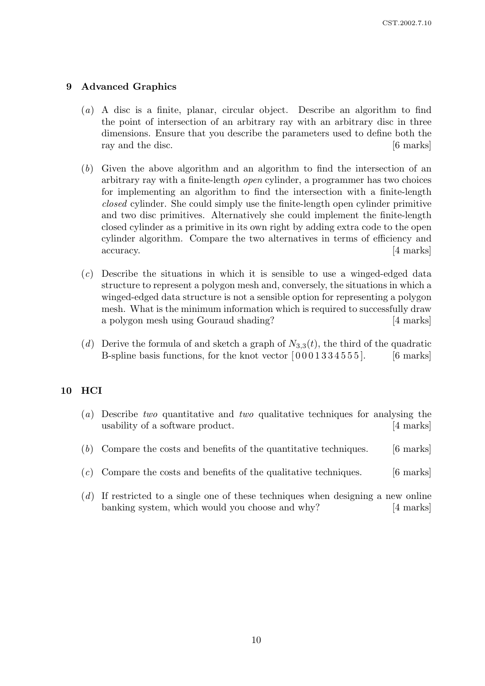#### 9 Advanced Graphics

- (a) A disc is a finite, planar, circular object. Describe an algorithm to find the point of intersection of an arbitrary ray with an arbitrary disc in three dimensions. Ensure that you describe the parameters used to define both the ray and the disc. [6 marks]
- (b) Given the above algorithm and an algorithm to find the intersection of an arbitrary ray with a finite-length open cylinder, a programmer has two choices for implementing an algorithm to find the intersection with a finite-length closed cylinder. She could simply use the finite-length open cylinder primitive and two disc primitives. Alternatively she could implement the finite-length closed cylinder as a primitive in its own right by adding extra code to the open cylinder algorithm. Compare the two alternatives in terms of efficiency and accuracy. [4 marks]
- (c) Describe the situations in which it is sensible to use a winged-edged data structure to represent a polygon mesh and, conversely, the situations in which a winged-edged data structure is not a sensible option for representing a polygon mesh. What is the minimum information which is required to successfully draw a polygon mesh using Gouraud shading? [4 marks]
- (d) Derive the formula of and sketch a graph of  $N_{3,3}(t)$ , the third of the quadratic B-spline basis functions, for the knot vector  $(0001334555)$ . [6 marks]

#### 10 HCI

- (a) Describe two quantitative and two qualitative techniques for analysing the usability of a software product. [4 marks]
- $(b)$  Compare the costs and benefits of the quantitative techniques. [6 marks]
- $(c)$  Compare the costs and benefits of the qualitative techniques. [6 marks]
- $(d)$  If restricted to a single one of these techniques when designing a new online banking system, which would you choose and why? [4 marks]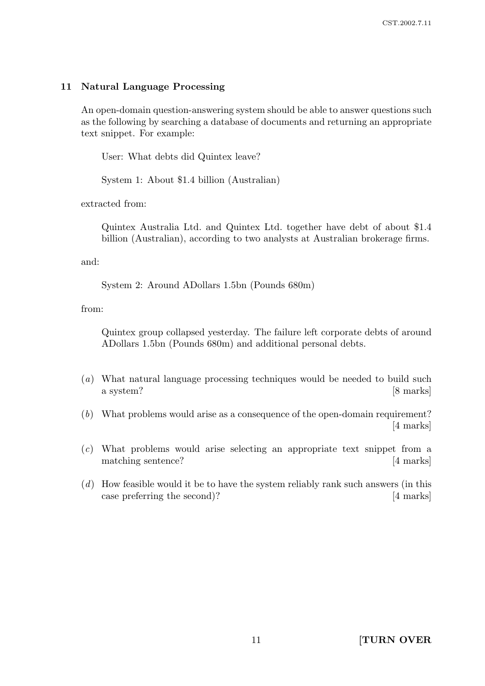#### 11 Natural Language Processing

An open-domain question-answering system should be able to answer questions such as the following by searching a database of documents and returning an appropriate text snippet. For example:

User: What debts did Quintex leave?

System 1: About \$1.4 billion (Australian)

extracted from:

Quintex Australia Ltd. and Quintex Ltd. together have debt of about \$1.4 billion (Australian), according to two analysts at Australian brokerage firms.

and:

System 2: Around ADollars 1.5bn (Pounds 680m)

from:

Quintex group collapsed yesterday. The failure left corporate debts of around ADollars 1.5bn (Pounds 680m) and additional personal debts.

- (a) What natural language processing techniques would be needed to build such a system? [8 marks]
- (b) What problems would arise as a consequence of the open-domain requirement? [4 marks]
- (c) What problems would arise selecting an appropriate text snippet from a matching sentence? [4 marks]
- (d) How feasible would it be to have the system reliably rank such answers (in this case preferring the second)? [4 marks]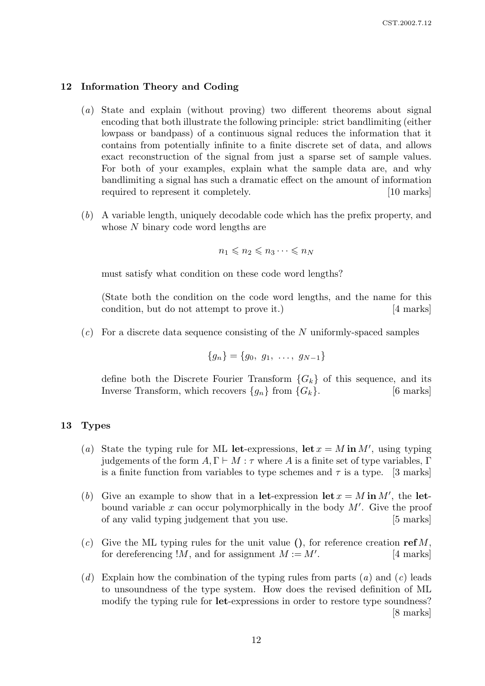#### 12 Information Theory and Coding

- (a) State and explain (without proving) two different theorems about signal encoding that both illustrate the following principle: strict bandlimiting (either lowpass or bandpass) of a continuous signal reduces the information that it contains from potentially infinite to a finite discrete set of data, and allows exact reconstruction of the signal from just a sparse set of sample values. For both of your examples, explain what the sample data are, and why bandlimiting a signal has such a dramatic effect on the amount of information required to represent it completely. [10 marks]
- (b) A variable length, uniquely decodable code which has the prefix property, and whose N binary code word lengths are

$$
n_1 \leqslant n_2 \leqslant n_3 \cdots \leqslant n_N
$$

must satisfy what condition on these code word lengths?

(State both the condition on the code word lengths, and the name for this condition, but do not attempt to prove it.) [4 marks]

 $(c)$  For a discrete data sequence consisting of the N uniformly-spaced samples

$$
\{g_n\} = \{g_0, g_1, \ldots, g_{N-1}\}\
$$

define both the Discrete Fourier Transform  ${G_k}$  of this sequence, and its Inverse Transform, which recovers  $\{g_n\}$  from  $\{G_k\}$ . [6 marks]

#### 13 Types

- (a) State the typing rule for ML let-expressions, let  $x = M$  in M', using typing judgements of the form  $A, \Gamma \vdash M : \tau$  where A is a finite set of type variables,  $\Gamma$ is a finite function from variables to type schemes and  $\tau$  is a type. [3 marks]
- (b) Give an example to show that in a let-expression let  $x = M$  in M', the letbound variable  $x$  can occur polymorphically in the body  $M'$ . Give the proof of any valid typing judgement that you use. [5 marks]
- (c) Give the ML typing rules for the unit value (), for reference creation  $\text{ref } M$ , for dereferencing  $!M$ , and for assignment  $M := M'$ . . [4 marks]
- $(d)$  Explain how the combination of the typing rules from parts  $(a)$  and  $(c)$  leads to unsoundness of the type system. How does the revised definition of ML modify the typing rule for **let**-expressions in order to restore type soundness? [8 marks]